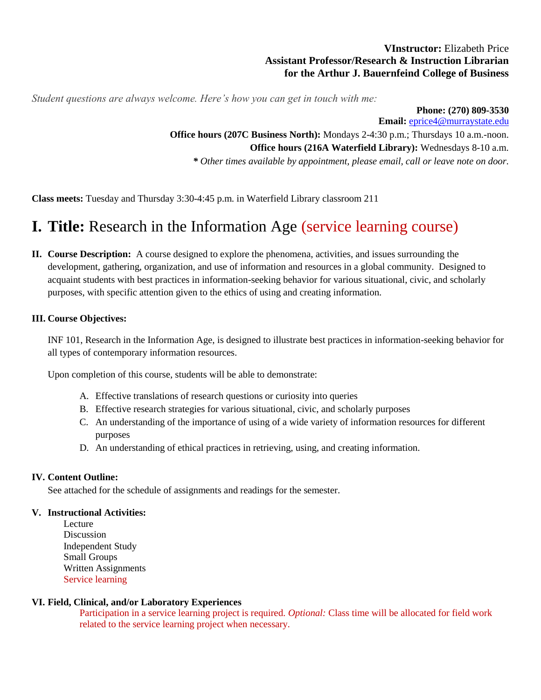# **VInstructor:** Elizabeth Price **Assistant Professor/Research & Instruction Librarian for the Arthur J. Bauernfeind College of Business**

*Student questions are always welcome. Here's how you can get in touch with me:*

**Phone: (270) 809-3530 Email:** [eprice4@murraystate.edu](mailto:eprice4@murraystate.edu) **Office hours (207C Business North):** Mondays 2-4:30 p.m.; Thursdays 10 a.m.-noon. **Office hours (216A Waterfield Library):** Wednesdays 8-10 a.m. *\* Other times available by appointment, please email, call or leave note on door.*

**Class meets:** Tuesday and Thursday 3:30-4:45 p.m. in Waterfield Library classroom 211

# **I. Title:** Research in the Information Age (service learning course)

**II. Course Description:** A course designed to explore the phenomena, activities, and issues surrounding the development, gathering, organization, and use of information and resources in a global community. Designed to acquaint students with best practices in information-seeking behavior for various situational, civic, and scholarly purposes, with specific attention given to the ethics of using and creating information.

# **III. Course Objectives:**

INF 101, Research in the Information Age, is designed to illustrate best practices in information-seeking behavior for all types of contemporary information resources.

Upon completion of this course, students will be able to demonstrate:

- A. Effective translations of research questions or curiosity into queries
- B. Effective research strategies for various situational, civic, and scholarly purposes
- C. An understanding of the importance of using of a wide variety of information resources for different purposes
- D. An understanding of ethical practices in retrieving, using, and creating information.

# **IV. Content Outline:**

See attached for the schedule of assignments and readings for the semester.

# **V. Instructional Activities:**

Lecture Discussion Independent Study Small Groups Written Assignments Service learning

# **VI. Field, Clinical, and/or Laboratory Experiences**

Participation in a service learning project is required. *Optional:* Class time will be allocated for field work related to the service learning project when necessary.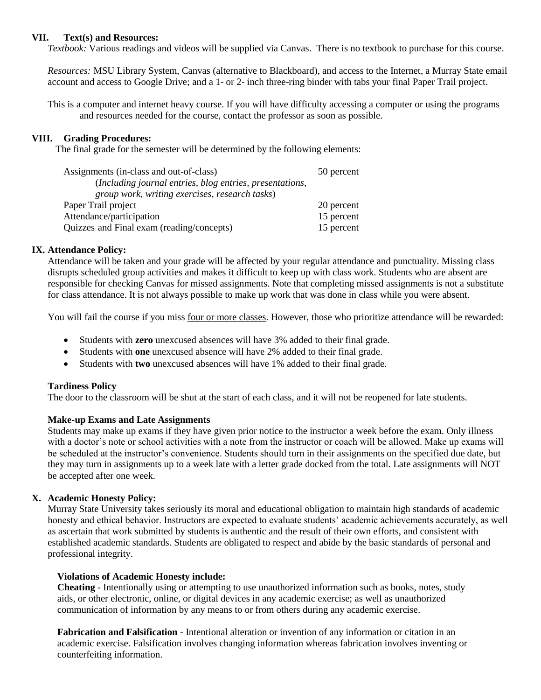#### **VII. Text(s) and Resources:**

*Textbook:* Various readings and videos will be supplied via Canvas. There is no textbook to purchase for this course.

*Resources:* MSU Library System, Canvas (alternative to Blackboard), and access to the Internet, a Murray State email account and access to Google Drive; and a 1- or 2- inch three-ring binder with tabs your final Paper Trail project.

This is a computer and internet heavy course. If you will have difficulty accessing a computer or using the programs and resources needed for the course, contact the professor as soon as possible.

#### **VIII. Grading Procedures:**

The final grade for the semester will be determined by the following elements:

| Assignments (in-class and out-of-class)                  | 50 percent |
|----------------------------------------------------------|------------|
| (Including journal entries, blog entries, presentations, |            |
| group work, writing exercises, research tasks)           |            |
| Paper Trail project                                      | 20 percent |
| Attendance/participation                                 | 15 percent |
| Quizzes and Final exam (reading/concepts)                | 15 percent |

#### **IX. Attendance Policy:**

Attendance will be taken and your grade will be affected by your regular attendance and punctuality. Missing class disrupts scheduled group activities and makes it difficult to keep up with class work. Students who are absent are responsible for checking Canvas for missed assignments. Note that completing missed assignments is not a substitute for class attendance. It is not always possible to make up work that was done in class while you were absent.

You will fail the course if you miss four or more classes. However, those who prioritize attendance will be rewarded:

- Students with **zero** unexcused absences will have 3% added to their final grade.
- Students with **one** unexcused absence will have 2% added to their final grade.
- Students with **two** unexcused absences will have 1% added to their final grade.

# **Tardiness Policy**

The door to the classroom will be shut at the start of each class, and it will not be reopened for late students.

# **Make-up Exams and Late Assignments**

Students may make up exams if they have given prior notice to the instructor a week before the exam. Only illness with a doctor's note or school activities with a note from the instructor or coach will be allowed. Make up exams will be scheduled at the instructor's convenience. Students should turn in their assignments on the specified due date, but they may turn in assignments up to a week late with a letter grade docked from the total. Late assignments will NOT be accepted after one week.

# **X. Academic Honesty Policy:**

Murray State University takes seriously its moral and educational obligation to maintain high standards of academic honesty and ethical behavior. Instructors are expected to evaluate students' academic achievements accurately, as well as ascertain that work submitted by students is authentic and the result of their own efforts, and consistent with established academic standards. Students are obligated to respect and abide by the basic standards of personal and professional integrity.

#### **Violations of Academic Honesty include:**

**Cheating** - Intentionally using or attempting to use unauthorized information such as books, notes, study aids, or other electronic, online, or digital devices in any academic exercise; as well as unauthorized communication of information by any means to or from others during any academic exercise.

**Fabrication and Falsification** - Intentional alteration or invention of any information or citation in an academic exercise. Falsification involves changing information whereas fabrication involves inventing or counterfeiting information.